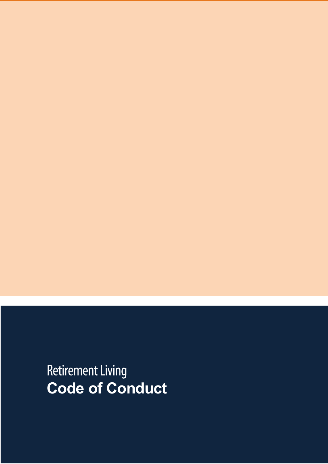**Retirement Living Code of Conduct**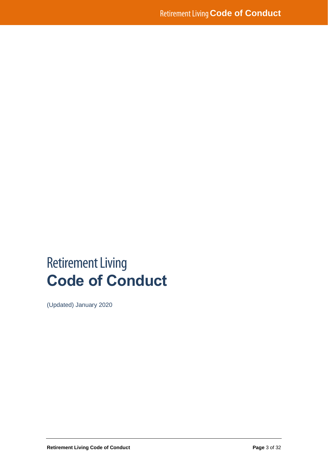# **Retirement Living Code of Conduct**

(Updated) January 2020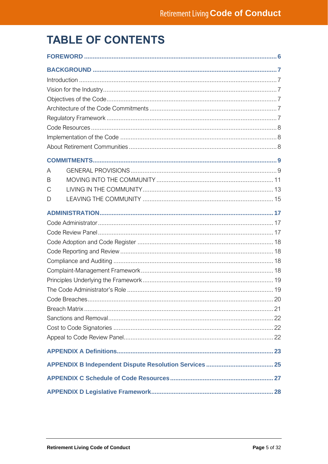## **TABLE OF CONTENTS**

| A |  |
|---|--|
| B |  |
| С |  |
| D |  |
|   |  |
|   |  |
|   |  |
|   |  |
|   |  |
|   |  |
|   |  |
|   |  |
|   |  |
|   |  |
|   |  |
|   |  |
|   |  |
|   |  |
|   |  |
|   |  |
|   |  |
|   |  |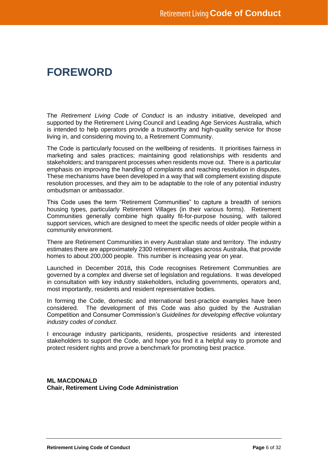### **FOREWORD**

The *Retirement Living Code of Conduct* is an industry initiative, developed and supported by the Retirement Living Council and Leading Age Services Australia, which is intended to help operators provide a trustworthy and high-quality service for those living in, and considering moving to, a Retirement Community.

The Code is particularly focused on the wellbeing of residents. It prioritises fairness in marketing and sales practices; maintaining good relationships with residents and stakeholders; and transparent processes when residents move out. There is a particular emphasis on improving the handling of complaints and reaching resolution in disputes. These mechanisms have been developed in a way that will complement existing dispute resolution processes, and they aim to be adaptable to the role of any potential industry ombudsman or ambassador.

This Code uses the term "Retirement Communities" to capture a breadth of seniors housing types, particularly Retirement Villages (in their various forms). Retirement Communities generally combine high quality fit-for-purpose housing, with tailored support services, which are designed to meet the specific needs of older people within a community environment.

There are Retirement Communities in every Australian state and territory. The industry estimates there are approximately 2300 retirement villages across Australia, that provide homes to about 200,000 people. This number is increasing year on year.

Launched in December 2018**,** this Code recognises Retirement Communities are governed by a complex and diverse set of legislation and regulations. It was developed in consultation with key industry stakeholders, including governments, operators and, most importantly, residents and resident representative bodies.

In forming the Code, domestic and international best-practice examples have been considered. The development of this Code was also guided by the Australian Competition and Consumer Commission's *Guidelines for developing effective voluntary industry codes of conduct*.

I encourage industry participants, residents, prospective residents and interested stakeholders to support the Code, and hope you find it a helpful way to promote and protect resident rights and prove a benchmark for promoting best practice.

**ML MACDONALD Chair, Retirement Living Code Administration**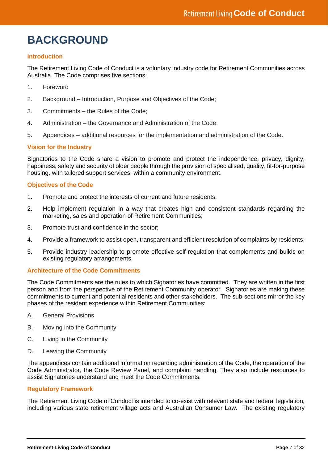## **BACKGROUND**

#### **Introduction**

The Retirement Living Code of Conduct is a voluntary industry code for Retirement Communities across Australia. The Code comprises five sections:

- 1. Foreword
- 2. Background Introduction, Purpose and Objectives of the Code;
- 3. Commitments the Rules of the Code;
- 4. Administration the Governance and Administration of the Code;
- 5. Appendices additional resources for the implementation and administration of the Code.

#### **Vision for the Industry**

Signatories to the Code share a vision to promote and protect the independence, privacy, dignity, happiness, safety and security of older people through the provision of specialised, quality, fit-for-purpose housing, with tailored support services, within a community environment.

#### **Objectives of the Code**

- 1. Promote and protect the interests of current and future residents;
- 2. Help implement regulation in a way that creates high and consistent standards regarding the marketing, sales and operation of Retirement Communities;
- 3. Promote trust and confidence in the sector;
- 4. Provide a framework to assist open, transparent and efficient resolution of complaints by residents;
- 5. Provide industry leadership to promote effective self-regulation that complements and builds on existing regulatory arrangements.

#### **Architecture of the Code Commitments**

The Code Commitments are the rules to which Signatories have committed. They are written in the first person and from the perspective of the Retirement Community operator. Signatories are making these commitments to current and potential residents and other stakeholders. The sub-sections mirror the key phases of the resident experience within Retirement Communities:

- A. General Provisions
- B. Moving into the Community
- C. Living in the Community
- D. Leaving the Community

The appendices contain additional information regarding administration of the Code, the operation of the Code Administrator, the Code Review Panel, and complaint handling. They also include resources to assist Signatories understand and meet the Code Commitments.

#### **Regulatory Framework**

The Retirement Living Code of Conduct is intended to co-exist with relevant state and federal legislation, including various state retirement village acts and Australian Consumer Law. The existing regulatory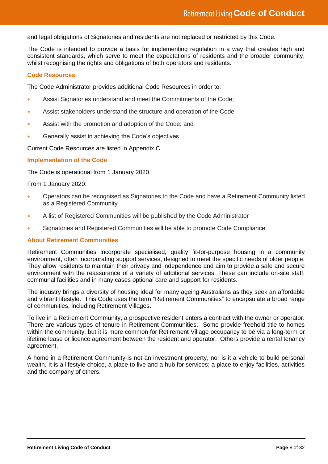and legal obligations of Signatories and residents are not replaced or restricted by this Code.

The Code is intended to provide a basis for implementing regulation in a way that creates high and consistent standards, which serve to meet the expectations of residents and the broader community, whilst recognising the rights and obligations of both operators and residents.

#### **Code Resources**

The Code Administrator provides additional Code Resources in order to:

- Assist Signatories understand and meet the Commitments of the Code;
- Assist stakeholders understand the structure and operation of the Code;
- Assist with the promotion and adoption of the Code; and
- Generally assist in achieving the Code's objectives.

Current Code Resources are listed in Appendix C.

#### **Implementation of the Code**

The Code is operational from 1 January 2020.

From 1 January 2020:

- Operators can be recognised as Signatories to the Code and have a Retirement Community listed as a Registered Community
- A list of Registered Communities will be published by the Code Administrator
- Signatories and Registered Communities will be able to promote Code Compliance.

#### **About Retirement Communities**

Retirement Communities incorporate specialised, quality fit-for-purpose housing in a community environment, often incorporating support services, designed to meet the specific needs of older people. They allow residents to maintain their privacy and independence and aim to provide a safe and secure environment with the reassurance of a variety of additional services. These can include on-site staff, communal facilities and in many cases optional care and support for residents.

The industry brings a diversity of housing ideal for many ageing Australians as they seek an affordable and vibrant lifestyle. This Code uses the term "Retirement Communities" to encapsulate a broad range of communities, including Retirement Villages.

To live in a Retirement Community, a prospective resident enters a contract with the owner or operator. There are various types of tenure in Retirement Communities. Some provide freehold title to homes within the community, but it is more common for Retirement Village occupancy to be via a long-term or lifetime lease or licence agreement between the resident and operator. Others provide a rental tenancy agreement.

A home in a Retirement Community is not an investment property, nor is it a vehicle to build personal wealth. It is a lifestyle choice, a place to live and a hub for services; a place to enjoy facilities, activities and the company of others.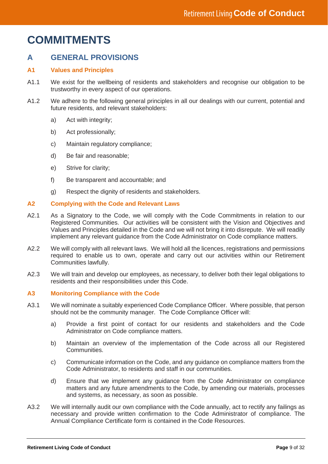## **COMMITMENTS**

### **A GENERAL PROVISIONS**

#### **A1 Values and Principles**

- A1.1 We exist for the wellbeing of residents and stakeholders and recognise our obligation to be trustworthy in every aspect of our operations.
- A1.2 We adhere to the following general principles in all our dealings with our current, potential and future residents, and relevant stakeholders:
	- a) Act with integrity:
	- b) Act professionally;
	- c) Maintain regulatory compliance;
	- d) Be fair and reasonable;
	- e) Strive for clarity;
	- f) Be transparent and accountable; and
	- g) Respect the dignity of residents and stakeholders.

#### **A2 Complying with the Code and Relevant Laws**

- A2.1 As a Signatory to the Code, we will comply with the Code Commitments in relation to our Registered Communities. Our activities will be consistent with the Vision and Objectives and Values and Principles detailed in the Code and we will not bring it into disrepute. We will readily implement any relevant guidance from the Code Administrator on Code compliance matters.
- A2.2 We will comply with all relevant laws. We will hold all the licences, registrations and permissions required to enable us to own, operate and carry out our activities within our Retirement Communities lawfully.
- A2.3 We will train and develop our employees, as necessary, to deliver both their legal obligations to residents and their responsibilities under this Code.

#### **A3 Monitoring Compliance with the Code**

- A3.1 We will nominate a suitably experienced Code Compliance Officer. Where possible, that person should not be the community manager. The Code Compliance Officer will:
	- a) Provide a first point of contact for our residents and stakeholders and the Code Administrator on Code compliance matters.
	- b) Maintain an overview of the implementation of the Code across all our Registered Communities.
	- c) Communicate information on the Code, and any guidance on compliance matters from the Code Administrator, to residents and staff in our communities.
	- d) Ensure that we implement any guidance from the Code Administrator on compliance matters and any future amendments to the Code, by amending our materials, processes and systems, as necessary, as soon as possible.
- A3.2 We will internally audit our own compliance with the Code annually, act to rectify any failings as necessary and provide written confirmation to the Code Administrator of compliance. The Annual Compliance Certificate form is contained in the Code Resources.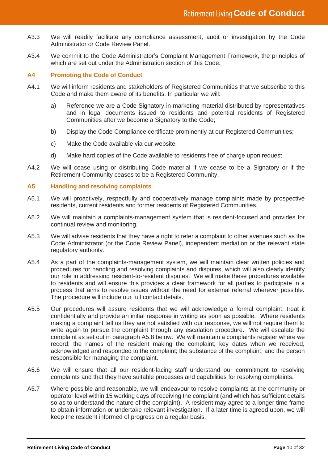- A3.3 We will readily facilitate any compliance assessment, audit or investigation by the Code Administrator or Code Review Panel.
- A3.4 We commit to the Code Administrator's Complaint Management Framework, the principles of which are set out under the Administration section of this Code.

#### **A4 Promoting the Code of Conduct**

- A4.1 We will inform residents and stakeholders of Registered Communities that we subscribe to this Code and make them aware of its benefits. In particular we will:
	- a) Reference we are a Code Signatory in marketing material distributed by representatives and in legal documents issued to residents and potential residents of Registered Communities after we become a Signatory to the Code;
	- b) Display the Code Compliance certificate prominently at our Registered Communities;
	- c) Make the Code available via our website;
	- d) Make hard copies of the Code available to residents free of charge upon request.
- A4.2 We will cease using or distributing Code material if we cease to be a Signatory or if the Retirement Community ceases to be a Registered Community.

#### **A5 Handling and resolving complaints**

- A5.1 We will proactively, respectfully and cooperatively manage complaints made by prospective residents, current residents and former residents of Registered Communities.
- A5.2 We will maintain a complaints-management system that is resident-focused and provides for continual review and monitoring.
- A5.3 We will advise residents that they have a right to refer a complaint to other avenues such as the Code Administrator (or the Code Review Panel), independent mediation or the relevant state regulatory authority.
- A5.4 As a part of the complaints-management system, we will maintain clear written policies and procedures for handling and resolving complaints and disputes, which will also clearly identify our role in addressing resident-to-resident disputes. We will make these procedures available to residents and will ensure this provides a clear framework for all parties to participate in a process that aims to resolve issues without the need for external referral wherever possible. The procedure will include our full contact details.
- A5.5 Our procedures will assure residents that we will acknowledge a formal complaint, treat it confidentially and provide an initial response in writing as soon as possible. Where residents making a complaint tell us they are not satisfied with our response, we will not require them to write again to pursue the complaint through any escalation procedure. We will escalate the complaint as set out in paragraph A5.8 below. We will maintain a complaints register where we record: the names of the resident making the complaint; key dates when we received, acknowledged and responded to the complaint; the substance of the complaint; and the person responsible for managing the complaint.
- A5.6 We will ensure that all our resident-facing staff understand our commitment to resolving complaints and that they have suitable processes and capabilities for resolving complaints.
- A5.7 Where possible and reasonable, we will endeavour to resolve complaints at the community or operator level within 15 working days of receiving the complaint (and which has sufficient details so as to understand the nature of the complaint). A resident may agree to a longer time frame to obtain information or undertake relevant investigation. If a later time is agreed upon, we will keep the resident informed of progress on a regular basis.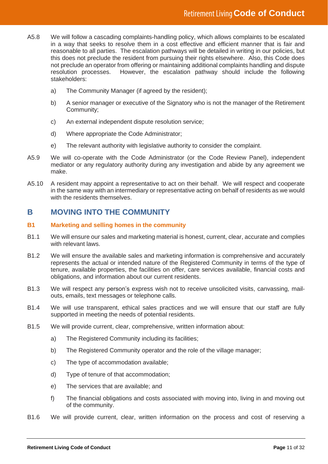- A5.8 We will follow a cascading complaints-handling policy, which allows complaints to be escalated in a way that seeks to resolve them in a cost effective and efficient manner that is fair and reasonable to all parties. The escalation pathways will be detailed in writing in our policies, but this does not preclude the resident from pursuing their rights elsewhere. Also, this Code does not preclude an operator from offering or maintaining additional complaints handling and dispute resolution processes. However, the escalation pathway should include the following stakeholders:
	- a) The Community Manager (if agreed by the resident);
	- b) A senior manager or executive of the Signatory who is not the manager of the Retirement Community;
	- c) An external independent dispute resolution service;
	- d) Where appropriate the Code Administrator;
	- e) The relevant authority with legislative authority to consider the complaint.
- A5.9 We will co-operate with the Code Administrator (or the Code Review Panel), independent mediator or any regulatory authority during any investigation and abide by any agreement we make.
- A5.10 A resident may appoint a representative to act on their behalf. We will respect and cooperate in the same way with an intermediary or representative acting on behalf of residents as we would with the residents themselves.

### **B MOVING INTO THE COMMUNITY**

#### **B1 Marketing and selling homes in the community**

- B1.1 We will ensure our sales and marketing material is honest, current, clear, accurate and complies with relevant laws.
- B1.2 We will ensure the available sales and marketing information is comprehensive and accurately represents the actual or intended nature of the Registered Community in terms of the type of tenure, available properties, the facilities on offer, care services available, financial costs and obligations, and information about our current residents.
- B1.3 We will respect any person's express wish not to receive unsolicited visits, canvassing, mailouts, emails, text messages or telephone calls.
- B1.4 We will use transparent, ethical sales practices and we will ensure that our staff are fully supported in meeting the needs of potential residents.
- B1.5 We will provide current, clear, comprehensive, written information about:
	- a) The Registered Community including its facilities;
	- b) The Registered Community operator and the role of the village manager;
	- c) The type of accommodation available;
	- d) Type of tenure of that accommodation;
	- e) The services that are available; and
	- f) The financial obligations and costs associated with moving into, living in and moving out of the community.
- B1.6 We will provide current, clear, written information on the process and cost of reserving a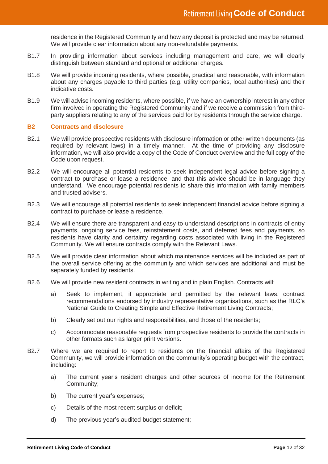residence in the Registered Community and how any deposit is protected and may be returned. We will provide clear information about any non-refundable payments.

- B1.7 In providing information about services including management and care, we will clearly distinguish between standard and optional or additional charges.
- B1.8 We will provide incoming residents, where possible, practical and reasonable, with information about any charges payable to third parties (e.g. utility companies, local authorities) and their indicative costs.
- B1.9 We will advise incoming residents, where possible, if we have an ownership interest in any other firm involved in operating the Registered Community and if we receive a commission from thirdparty suppliers relating to any of the services paid for by residents through the service charge.

#### **B2 Contracts and disclosure**

- B2.1 We will provide prospective residents with disclosure information or other written documents (as required by relevant laws) in a timely manner. At the time of providing any disclosure information, we will also provide a copy of the Code of Conduct overview and the full copy of the Code upon request.
- B2.2 We will encourage all potential residents to seek independent legal advice before signing a contract to purchase or lease a residence, and that this advice should be in language they understand. We encourage potential residents to share this information with family members and trusted advisers.
- B2.3 We will encourage all potential residents to seek independent financial advice before signing a contract to purchase or lease a residence.
- B2.4 We will ensure there are transparent and easy-to-understand descriptions in contracts of entry payments, ongoing service fees, reinstatement costs, and deferred fees and payments, so residents have clarity and certainty regarding costs associated with living in the Registered Community. We will ensure contracts comply with the Relevant Laws.
- B2.5 We will provide clear information about which maintenance services will be included as part of the overall service offering at the community and which services are additional and must be separately funded by residents.
- B2.6 We will provide new resident contracts in writing and in plain English. Contracts will:
	- a) Seek to implement, if appropriate and permitted by the relevant laws, contract recommendations endorsed by industry representative organisations, such as the RLC's National Guide to Creating Simple and Effective Retirement Living Contracts;
	- b) Clearly set out our rights and responsibilities, and those of the residents;
	- c) Accommodate reasonable requests from prospective residents to provide the contracts in other formats such as larger print versions.
- B2.7 Where we are required to report to residents on the financial affairs of the Registered Community, we will provide information on the community's operating budget with the contract, including:
	- a) The current year's resident charges and other sources of income for the Retirement Community;
	- b) The current year's expenses;
	- c) Details of the most recent surplus or deficit;
	- d) The previous year's audited budget statement;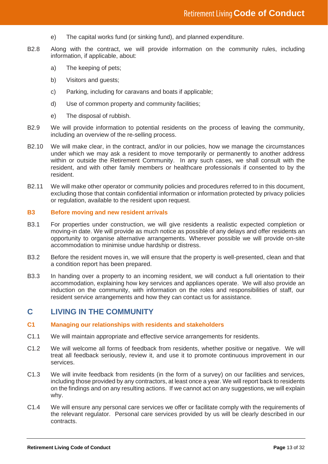- e) The capital works fund (or sinking fund), and planned expenditure.
- B2.8 Along with the contract, we will provide information on the community rules, including information, if applicable, about:
	- a) The keeping of pets;
	- b) Visitors and guests;
	- c) Parking, including for caravans and boats if applicable;
	- d) Use of common property and community facilities;
	- e) The disposal of rubbish.
- B2.9 We will provide information to potential residents on the process of leaving the community, including an overview of the re-selling process.
- B2.10 We will make clear, in the contract, and/or in our policies, how we manage the circumstances under which we may ask a resident to move temporarily or permanently to another address within or outside the Retirement Community. In any such cases, we shall consult with the resident, and with other family members or healthcare professionals if consented to by the resident.
- B2.11 We will make other operator or community policies and procedures referred to in this document, excluding those that contain confidential information or information protected by privacy policies or regulation, available to the resident upon request.

#### **B3 Before moving and new resident arrivals**

- B3.1 For properties under construction, we will give residents a realistic expected completion or moving-in date. We will provide as much notice as possible of any delays and offer residents an opportunity to organise alternative arrangements. Wherever possible we will provide on-site accommodation to minimise undue hardship or distress.
- B3.2 Before the resident moves in, we will ensure that the property is well-presented, clean and that a condition report has been prepared.
- B3.3 In handing over a property to an incoming resident, we will conduct a full orientation to their accommodation, explaining how key services and appliances operate. We will also provide an induction on the community, with information on the roles and responsibilities of staff, our resident service arrangements and how they can contact us for assistance.

#### **C LIVING IN THE COMMUNITY**

#### **C1 Managing our relationships with residents and stakeholders**

- C1.1 We will maintain appropriate and effective service arrangements for residents.
- C1.2 We will welcome all forms of feedback from residents, whether positive or negative. We will treat all feedback seriously, review it, and use it to promote continuous improvement in our services.
- C1.3 We will invite feedback from residents (in the form of a survey) on our facilities and services, including those provided by any contractors, at least once a year. We will report back to residents on the findings and on any resulting actions. If we cannot act on any suggestions, we will explain why.
- C1.4 We will ensure any personal care services we offer or facilitate comply with the requirements of the relevant regulator. Personal care services provided by us will be clearly described in our contracts.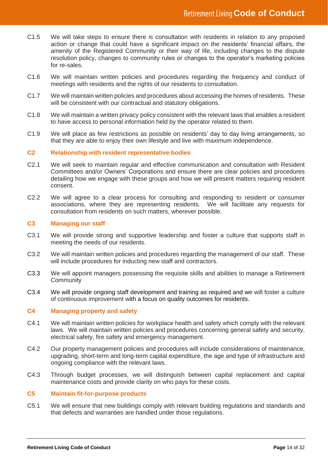- C1.5 We will take steps to ensure there is consultation with residents in relation to any proposed action or change that could have a significant impact on the residents' financial affairs, the amenity of the Registered Community or their way of life, including changes to the dispute resolution policy, changes to community rules or changes to the operator's marketing policies for re-sales.
- C1.6 We will maintain written policies and procedures regarding the frequency and conduct of meetings with residents and the rights of our residents to consultation.
- C1.7 We will maintain written policies and procedures about accessing the homes of residents. These will be consistent with our contractual and statutory obligations.
- C1.8 We will maintain a written privacy policy consistent with the relevant laws that enables a resident to have access to personal information held by the operator related to them.
- C1.9 We will place as few restrictions as possible on residents' day to day living arrangements, so that they are able to enjoy their own lifestyle and live with maximum independence.

#### **C2 Relationship with resident representative bodies**

- C2.1 We will seek to maintain regular and effective communication and consultation with Resident Committees and/or Owners' Corporations and ensure there are clear policies and procedures detailing how we engage with these groups and how we will present matters requiring resident consent.
- C2.2 We will agree to a clear process for consulting and responding to resident or consumer associations, where they are representing residents. We will facilitate any requests for consultation from residents on such matters, wherever possible.

#### **C3 Managing our staff**

- C3.1 We will provide strong and supportive leadership and foster a culture that supports staff in meeting the needs of our residents.
- C3.2 We will maintain written policies and procedures regarding the management of our staff. These will include procedures for inducting new staff and contractors.
- C3.3 We will appoint managers possessing the requisite skills and abilities to manage a Retirement **Community**
- C3.4 We will provide ongoing staff development and training as required and we will foster a culture of continuous improvement with a focus on quality outcomes for residents.

#### **C4 Managing property and safety**

- C4.1 We will maintain written policies for workplace health and safety which comply with the relevant laws. We will maintain written policies and procedures concerning general safety and security, electrical safety, fire safety and emergency management.
- C4.2 Our property management policies and procedures will include considerations of maintenance, upgrading, short-term and long-term capital expenditure, the age and type of infrastructure and ongoing compliance with the relevant laws.
- C4.3 Through budget processes, we will distinguish between capital replacement and capital maintenance costs and provide clarity on who pays for these costs.

#### **C5 Maintain fit-for-purpose products**

C5.1 We will ensure that new buildings comply with relevant building regulations and standards and that defects and warranties are handled under those regulations.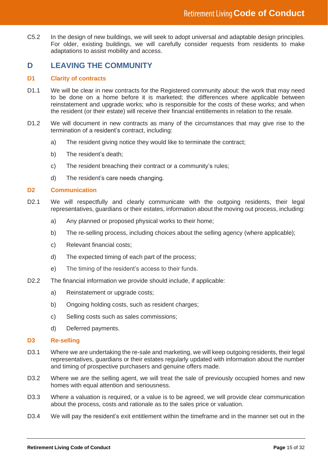C5.2 In the design of new buildings, we will seek to adopt universal and adaptable design principles. For older, existing buildings, we will carefully consider requests from residents to make adaptations to assist mobility and access.

### **D LEAVING THE COMMUNITY**

#### **D1 Clarity of contracts**

- D1.1 We will be clear in new contracts for the Registered community about: the work that may need to be done on a home before it is marketed; the differences where applicable between reinstatement and upgrade works; who is responsible for the costs of these works; and when the resident (or their estate) will receive their financial entitlements in relation to the resale.
- D1.2 We will document in new contracts as many of the circumstances that may give rise to the termination of a resident's contract, including:
	- a) The resident giving notice they would like to terminate the contract;
	- b) The resident's death;
	- c) The resident breaching their contract or a community's rules;
	- d) The resident's care needs changing.

#### **D2 Communication**

- D2.1 We will respectfully and clearly communicate with the outgoing residents, their legal representatives, guardians or their estates, information about the moving out process, including:
	- a) Any planned or proposed physical works to their home;
	- b) The re-selling process, including choices about the selling agency (where applicable);
	- c) Relevant financial costs;
	- d) The expected timing of each part of the process;
	- e) The timing of the resident's access to their funds.
- D2.2 The financial information we provide should include, if applicable:
	- a) Reinstatement or upgrade costs;
	- b) Ongoing holding costs, such as resident charges;
	- c) Selling costs such as sales commissions;
	- d) Deferred payments.

#### **D3 Re-selling**

- D3.1 Where we are undertaking the re-sale and marketing, we will keep outgoing residents, their legal representatives, guardians or their estates regularly updated with information about the number and timing of prospective purchasers and genuine offers made.
- D3.2 Where we are the selling agent, we will treat the sale of previously occupied homes and new homes with equal attention and seriousness.
- D3.3 Where a valuation is required, or a value is to be agreed, we will provide clear communication about the process, costs and rationale as to the sales price or valuation.
- D3.4 We will pay the resident's exit entitlement within the timeframe and in the manner set out in the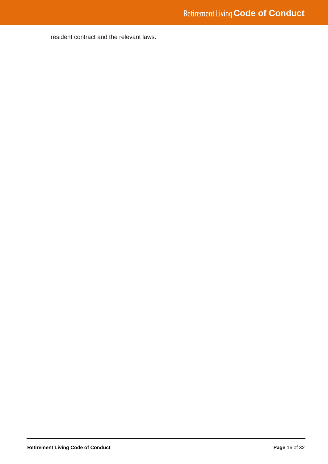resident contract and the relevant laws.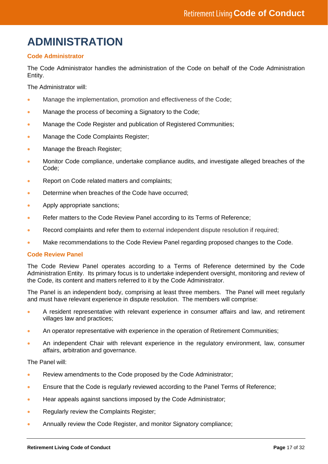### **ADMINISTRATION**

#### **Code Administrator**

The Code Administrator handles the administration of the Code on behalf of the Code Administration Entity.

The Administrator will:

- Manage the implementation, promotion and effectiveness of the Code;
- Manage the process of becoming a Signatory to the Code;
- Manage the Code Register and publication of Registered Communities;
- Manage the Code Complaints Register;
- Manage the Breach Register:
- Monitor Code compliance, undertake compliance audits, and investigate alleged breaches of the Code;
- Report on Code related matters and complaints;
- Determine when breaches of the Code have occurred;
- Apply appropriate sanctions;
- Refer matters to the Code Review Panel according to its Terms of Reference;
- Record complaints and refer them to external independent dispute resolution if required;
- Make recommendations to the Code Review Panel regarding proposed changes to the Code.

#### **Code Review Panel**

The Code Review Panel operates according to a Terms of Reference determined by the Code Administration Entity. Its primary focus is to undertake independent oversight, monitoring and review of the Code, its content and matters referred to it by the Code Administrator.

The Panel is an independent body, comprising at least three members. The Panel will meet regularly and must have relevant experience in dispute resolution. The members will comprise:

- A resident representative with relevant experience in consumer affairs and law, and retirement villages law and practices;
- An operator representative with experience in the operation of Retirement Communities;
- An independent Chair with relevant experience in the regulatory environment, law, consumer affairs, arbitration and governance.

The Panel will:

- Review amendments to the Code proposed by the Code Administrator;
- Ensure that the Code is regularly reviewed according to the Panel Terms of Reference;
- Hear appeals against sanctions imposed by the Code Administrator;
- Regularly review the Complaints Register;
- Annually review the Code Register, and monitor Signatory compliance;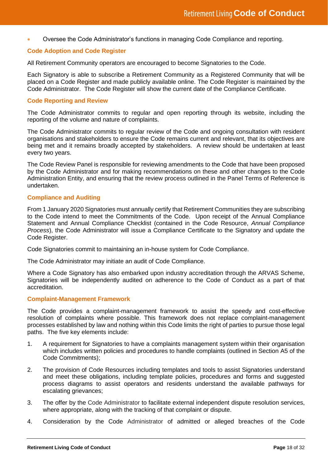• Oversee the Code Administrator's functions in managing Code Compliance and reporting.

#### **Code Adoption and Code Register**

All Retirement Community operators are encouraged to become Signatories to the Code.

Each Signatory is able to subscribe a Retirement Community as a Registered Community that will be placed on a Code Register and made publicly available online. The Code Register is maintained by the Code Administrator. The Code Register will show the current date of the Compliance Certificate.

#### **Code Reporting and Review**

The Code Administrator commits to regular and open reporting through its website, including the reporting of the volume and nature of complaints.

The Code Administrator commits to regular review of the Code and ongoing consultation with resident organisations and stakeholders to ensure the Code remains current and relevant, that its objectives are being met and it remains broadly accepted by stakeholders. A review should be undertaken at least every two years.

The Code Review Panel is responsible for reviewing amendments to the Code that have been proposed by the Code Administrator and for making recommendations on these and other changes to the Code Administration Entity, and ensuring that the review process outlined in the Panel Terms of Reference is undertaken.

#### **Compliance and Auditing**

From 1 January 2020 Signatories must annually certify that Retirement Communities they are subscribing to the Code intend to meet the Commitments of the Code. Upon receipt of the Annual Compliance Statement and Annual Compliance Checklist (contained in the Code Resource, *Annual Compliance Process*), the Code Administrator will issue a Compliance Certificate to the Signatory and update the Code Register.

Code Signatories commit to maintaining an in-house system for Code Compliance.

The Code Administrator may initiate an audit of Code Compliance.

Where a Code Signatory has also embarked upon industry accreditation through the ARVAS Scheme, Signatories will be independently audited on adherence to the Code of Conduct as a part of that accreditation.

#### **Complaint-Management Framework**

The Code provides a complaint-management framework to assist the speedy and cost-effective resolution of complaints where possible. This framework does not replace complaint-management processes established by law and nothing within this Code limits the right of parties to pursue those legal paths. The five key elements include:

- 1. A requirement for Signatories to have a complaints management system within their organisation which includes written policies and procedures to handle complaints (outlined in Section A5 of the Code Commitments);
- 2. The provision of Code Resources including templates and tools to assist Signatories understand and meet these obligations, including template policies, procedures and forms and suggested process diagrams to assist operators and residents understand the available pathways for escalating grievances;
- 3. The offer by the Code Administrator to facilitate external independent dispute resolution services, where appropriate, along with the tracking of that complaint or dispute.
- 4. Consideration by the Code Administrator of admitted or alleged breaches of the Code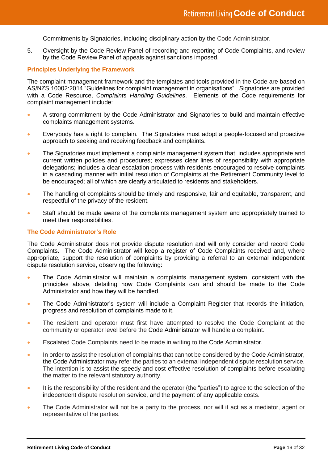Commitments by Signatories, including disciplinary action by the Code Administrator.

5. Oversight by the Code Review Panel of recording and reporting of Code Complaints, and review by the Code Review Panel of appeals against sanctions imposed.

#### **Principles Underlying the Framework**

The complaint management framework and the templates and tools provided in the Code are based on AS/NZS 10002:2014 "Guidelines for complaint management in organisations". Signatories are provided with a Code Resource, *Complaints Handling Guidelines*. Elements of the Code requirements for complaint management include:

- A strong commitment by the Code Administrator and Signatories to build and maintain effective complaints management systems.
- Everybody has a right to complain. The Signatories must adopt a people-focused and proactive approach to seeking and receiving feedback and complaints.
- The Signatories must implement a complaints management system that: includes appropriate and current written policies and procedures; expresses clear lines of responsibility with appropriate delegations; includes a clear escalation process with residents encouraged to resolve complaints in a cascading manner with initial resolution of Complaints at the Retirement Community level to be encouraged; all of which are clearly articulated to residents and stakeholders.
- The handling of complaints should be timely and responsive, fair and equitable, transparent, and respectful of the privacy of the resident.
- Staff should be made aware of the complaints management system and appropriately trained to meet their responsibilities.

#### **The Code Administrator's Role**

The Code Administrator does not provide dispute resolution and will only consider and record Code Complaints. The Code Administrator will keep a register of Code Complaints received and, where appropriate, support the resolution of complaints by providing a referral to an external independent dispute resolution service, observing the following:

- The Code Administrator will maintain a complaints management system, consistent with the principles above, detailing how Code Complaints can and should be made to the Code Administrator and how they will be handled.
- The Code Administrator's system will include a Complaint Register that records the initiation, progress and resolution of complaints made to it.
- The resident and operator must first have attempted to resolve the Code Complaint at the community or operator level before the Code Administrator will handle a complaint.
- Escalated Code Complaints need to be made in writing to the Code Administrator.
- In order to assist the resolution of complaints that cannot be considered by the Code Administrator, the Code Administrator may refer the parties to an external independent dispute resolution service. The intention is to assist the speedy and cost-effective resolution of complaints before escalating the matter to the relevant statutory authority.
- It is the responsibility of the resident and the operator (the "parties") to agree to the selection of the independent dispute resolution service, and the payment of any applicable costs.
- The Code Administrator will not be a party to the process, nor will it act as a mediator, agent or representative of the parties.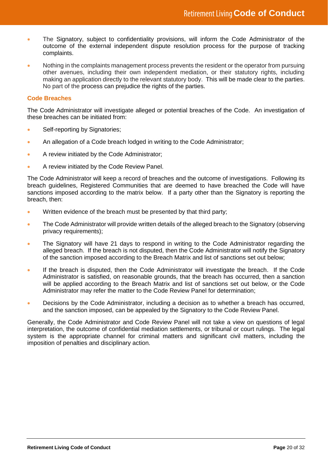- The Signatory, subject to confidentiality provisions, will inform the Code Administrator of the outcome of the external independent dispute resolution process for the purpose of tracking complaints.
- Nothing in the complaints management process prevents the resident or the operator from pursuing other avenues, including their own independent mediation, or their statutory rights, including making an application directly to the relevant statutory body. This will be made clear to the parties. No part of the process can prejudice the rights of the parties.

#### **Code Breaches**

The Code Administrator will investigate alleged or potential breaches of the Code. An investigation of these breaches can be initiated from:

- Self-reporting by Signatories;
- An allegation of a Code breach lodged in writing to the Code Administrator:
- A review initiated by the Code Administrator;
- A review initiated by the Code Review Panel.

The Code Administrator will keep a record of breaches and the outcome of investigations. Following its breach guidelines, Registered Communities that are deemed to have breached the Code will have sanctions imposed according to the matrix below. If a party other than the Signatory is reporting the breach, then:

- Written evidence of the breach must be presented by that third party;
- The Code Administrator will provide written details of the alleged breach to the Signatory (observing privacy requirements);
- The Signatory will have 21 days to respond in writing to the Code Administrator regarding the alleged breach. If the breach is not disputed, then the Code Administrator will notify the Signatory of the sanction imposed according to the Breach Matrix and list of sanctions set out below;
- If the breach is disputed, then the Code Administrator will investigate the breach. If the Code Administrator is satisfied, on reasonable grounds, that the breach has occurred, then a sanction will be applied according to the Breach Matrix and list of sanctions set out below, or the Code Administrator may refer the matter to the Code Review Panel for determination;
- Decisions by the Code Administrator, including a decision as to whether a breach has occurred, and the sanction imposed, can be appealed by the Signatory to the Code Review Panel.

Generally, the Code Administrator and Code Review Panel will not take a view on questions of legal interpretation, the outcome of confidential mediation settlements, or tribunal or court rulings. The legal system is the appropriate channel for criminal matters and significant civil matters, including the imposition of penalties and disciplinary action.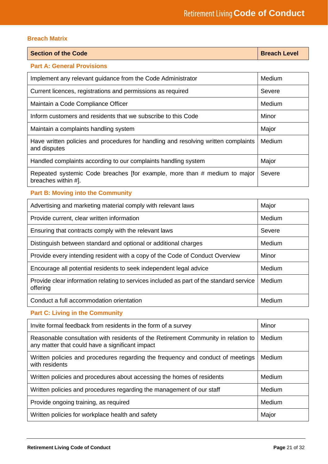#### **Breach Matrix**

| <b>Section of the Code</b> | <b>Breach Level</b> |
|----------------------------|---------------------|
|----------------------------|---------------------|

#### **Part A: General Provisions**

| Medium<br>Implement any relevant guidance from the Code Administrator                              |        |
|----------------------------------------------------------------------------------------------------|--------|
| Current licences, registrations and permissions as required                                        | Severe |
| Maintain a Code Compliance Officer                                                                 | Medium |
| Inform customers and residents that we subscribe to this Code                                      | Minor  |
| Maintain a complaints handling system                                                              | Major  |
| Have written policies and procedures for handling and resolving written complaints<br>and disputes | Medium |
| Handled complaints according to our complaints handling system                                     | Major  |
| Repeated systemic Code breaches [for example, more than # medium to major<br>breaches within #].   | Severe |

#### **Part B: Moving into the Community**

| Major<br>Advertising and marketing material comply with relevant laws                               |               |
|-----------------------------------------------------------------------------------------------------|---------------|
| Provide current, clear written information                                                          | Medium        |
| Ensuring that contracts comply with the relevant laws                                               | Severe        |
| Distinguish between standard and optional or additional charges                                     | <b>Medium</b> |
| Provide every intending resident with a copy of the Code of Conduct Overview                        | Minor         |
| Encourage all potential residents to seek independent legal advice                                  | Medium        |
| Provide clear information relating to services included as part of the standard service<br>offering | Medium        |
| Conduct a full accommodation orientation                                                            | Medium        |

#### **Part C: Living in the Community**

| Invite formal feedback from residents in the form of a survey                                                                        | Minor  |
|--------------------------------------------------------------------------------------------------------------------------------------|--------|
| Reasonable consultation with residents of the Retirement Community in relation to<br>any matter that could have a significant impact | Medium |
| Written policies and procedures regarding the frequency and conduct of meetings<br>with residents                                    | Medium |
| Written policies and procedures about accessing the homes of residents                                                               | Medium |
| Written policies and procedures regarding the management of our staff                                                                | Medium |
| Provide ongoing training, as required                                                                                                | Medium |
| Written policies for workplace health and safety                                                                                     | Major  |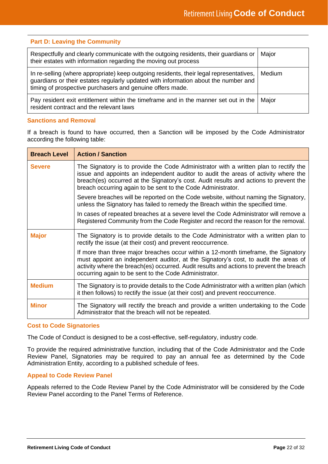#### **Part D: Leaving the Community**

| Respectfully and clearly communicate with the outgoing residents, their guardians or<br>their estates with information regarding the moving out process                                                                                    | Major  |
|--------------------------------------------------------------------------------------------------------------------------------------------------------------------------------------------------------------------------------------------|--------|
| In re-selling (where appropriate) keep outgoing residents, their legal representatives,<br>guardians or their estates regularly updated with information about the number and<br>timing of prospective purchasers and genuine offers made. | Medium |
| Pay resident exit entitlement within the timeframe and in the manner set out in the<br>resident contract and the relevant laws                                                                                                             | Major  |

#### **Sanctions and Removal**

If a breach is found to have occurred, then a Sanction will be imposed by the Code Administrator according the following table:

| <b>Breach Level</b> | <b>Action / Sanction</b>                                                                                                                                                                                                                                                                                                             |
|---------------------|--------------------------------------------------------------------------------------------------------------------------------------------------------------------------------------------------------------------------------------------------------------------------------------------------------------------------------------|
| <b>Severe</b>       | The Signatory is to provide the Code Administrator with a written plan to rectify the<br>issue and appoints an independent auditor to audit the areas of activity where the<br>breach(es) occurred at the Signatory's cost. Audit results and actions to prevent the<br>breach occurring again to be sent to the Code Administrator. |
|                     | Severe breaches will be reported on the Code website, without naming the Signatory,<br>unless the Signatory has failed to remedy the Breach within the specified time.                                                                                                                                                               |
|                     | In cases of repeated breaches at a severe level the Code Administrator will remove a<br>Registered Community from the Code Register and record the reason for the removal.                                                                                                                                                           |
| <b>Major</b>        | The Signatory is to provide details to the Code Administrator with a written plan to<br>rectify the issue (at their cost) and prevent reoccurrence.                                                                                                                                                                                  |
|                     | If more than three major breaches occur within a 12-month timeframe, the Signatory<br>must appoint an independent auditor, at the Signatory's cost, to audit the areas of<br>activity where the breach(es) occurred. Audit results and actions to prevent the breach<br>occurring again to be sent to the Code Administrator.        |
| <b>Medium</b>       | The Signatory is to provide details to the Code Administrator with a written plan (which<br>it then follows) to rectify the issue (at their cost) and prevent reoccurrence.                                                                                                                                                          |
| <b>Minor</b>        | The Signatory will rectify the breach and provide a written undertaking to the Code<br>Administrator that the breach will not be repeated.                                                                                                                                                                                           |

#### **Cost to Code Signatories**

The Code of Conduct is designed to be a cost-effective, self-regulatory, industry code.

To provide the required administrative function, including that of the Code Administrator and the Code Review Panel, Signatories may be required to pay an annual fee as determined by the Code Administration Entity, according to a published schedule of fees.

#### **Appeal to Code Review Panel**

Appeals referred to the Code Review Panel by the Code Administrator will be considered by the Code Review Panel according to the Panel Terms of Reference.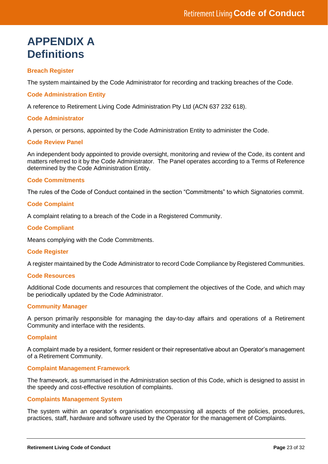### **APPENDIX A Definitions**

#### **Breach Register**

The system maintained by the Code Administrator for recording and tracking breaches of the Code.

#### **Code Administration Entity**

A reference to Retirement Living Code Administration Pty Ltd (ACN 637 232 618).

#### **Code Administrator**

A person, or persons, appointed by the Code Administration Entity to administer the Code.

#### **Code Review Panel**

An independent body appointed to provide oversight, monitoring and review of the Code, its content and matters referred to it by the Code Administrator. The Panel operates according to a Terms of Reference determined by the Code Administration Entity.

#### **Code Commitments**

The rules of the Code of Conduct contained in the section "Commitments" to which Signatories commit.

#### **Code Complaint**

A complaint relating to a breach of the Code in a Registered Community.

#### **Code Compliant**

Means complying with the Code Commitments.

#### **Code Register**

A register maintained by the Code Administrator to record Code Compliance by Registered Communities.

#### **Code Resources**

Additional Code documents and resources that complement the objectives of the Code, and which may be periodically updated by the Code Administrator.

#### **Community Manager**

A person primarily responsible for managing the day-to-day affairs and operations of a Retirement Community and interface with the residents.

#### **Complaint**

A complaint made by a resident, former resident or their representative about an Operator's management of a Retirement Community.

#### **Complaint Management Framework**

The framework, as summarised in the Administration section of this Code, which is designed to assist in the speedy and cost-effective resolution of complaints.

#### **Complaints Management System**

The system within an operator's organisation encompassing all aspects of the policies, procedures, practices, staff, hardware and software used by the Operator for the management of Complaints.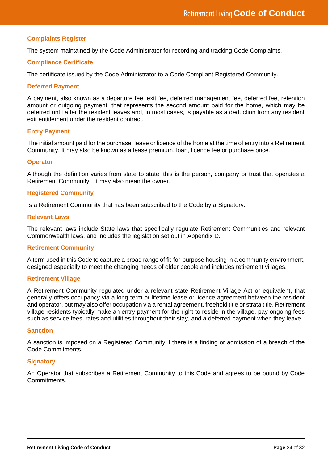#### **Complaints Register**

The system maintained by the Code Administrator for recording and tracking Code Complaints.

#### **Compliance Certificate**

The certificate issued by the Code Administrator to a Code Compliant Registered Community.

#### **Deferred Payment**

A payment, also known as a departure fee, exit fee, deferred management fee, deferred fee, retention amount or outgoing payment, that represents the second amount paid for the home, which may be deferred until after the resident leaves and, in most cases, is payable as a deduction from any resident exit entitlement under the resident contract.

#### **Entry Payment**

The initial amount paid for the purchase, lease or licence of the home at the time of entry into a Retirement Community. It may also be known as a lease premium, loan, licence fee or purchase price.

#### **Operator**

Although the definition varies from state to state, this is the person, company or trust that operates a Retirement Community. It may also mean the owner.

#### **Registered Community**

Is a Retirement Community that has been subscribed to the Code by a Signatory.

#### **Relevant Laws**

The relevant laws include State laws that specifically regulate Retirement Communities and relevant Commonwealth laws, and includes the legislation set out in Appendix D.

#### **Retirement Community**

A term used in this Code to capture a broad range of fit-for-purpose housing in a community environment, designed especially to meet the changing needs of older people and includes retirement villages.

#### **Retirement Village**

A Retirement Community regulated under a relevant state Retirement Village Act or equivalent, that generally offers occupancy via a long-term or lifetime lease or licence agreement between the resident and operator, but may also offer occupation via a rental agreement, freehold title or strata title. Retirement village residents typically make an entry payment for the right to reside in the village, pay ongoing fees such as service fees, rates and utilities throughout their stay, and a deferred payment when they leave.

#### **Sanction**

A sanction is imposed on a Registered Community if there is a finding or admission of a breach of the Code Commitments.

#### **Signatory**

An Operator that subscribes a Retirement Community to this Code and agrees to be bound by Code Commitments.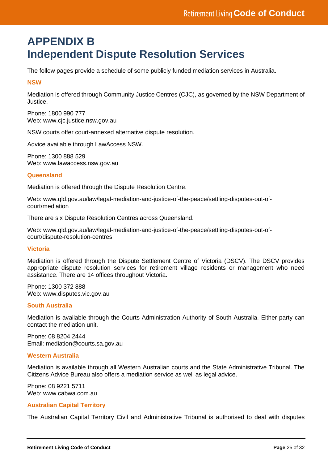### **APPENDIX B Independent Dispute Resolution Services**

The follow pages provide a schedule of some publicly funded mediation services in Australia.

#### **NSW**

Mediation is offered through Community Justice Centres (CJC), as governed by the NSW Department of Justice.

Phone: 1800 990 777 Web: [www.cjc.justice.nsw.gov.au](http://www.cjc.justice.nsw.gov.au/)

NSW courts offer court-annexed alternative dispute resolution.

Advice available through LawAccess NSW.

Phone: 1300 888 529 Web: [www.lawaccess.nsw.gov.au](http://www.lawaccess.nsw.gov.au/)

#### **Queensland**

Mediation is offered through the Dispute Resolution Centre.

Web: [www.qld.gov.au/law/legal-mediation-and-justice-of-the-peace/settling-disputes-out-of](http://www.qld.gov.au/law/legal-mediation-and-justice-of-the-peace/settling-disputes-out-of-court/mediation)[court/mediation](http://www.qld.gov.au/law/legal-mediation-and-justice-of-the-peace/settling-disputes-out-of-court/mediation)

There are six Dispute Resolution Centres across Queensland.

Web: [www.qld.gov.au/law/legal-mediation-and-justice-of-the-peace/settling-disputes-out-of](http://www.qld.gov.au/law/legal-mediation-and-justice-of-the-peace/settling-disputes-out-of-court/dispute-resolution-centres)[court/dispute-resolution-centres](http://www.qld.gov.au/law/legal-mediation-and-justice-of-the-peace/settling-disputes-out-of-court/dispute-resolution-centres)

#### **Victoria**

Mediation is offered through the Dispute Settlement Centre of Victoria (DSCV). The DSCV provides appropriate dispute resolution services for retirement village residents or management who need assistance. There are 14 offices throughout Victoria.

Phone: 1300 372 888 Web: [www.disputes.vic.gov.au](http://www.disputes.vic.gov.au/)

#### **South Australia**

Mediation is available through the Courts Administration Authority of South Australia. Either party can contact the mediation unit.

Phone: 08 8204 2444 Email: [mediation@courts.sa.gov.au](mailto:mediation@courts.sa.gov.au)

#### **Western Australia**

Mediation is available through all Western Australian courts and the State Administrative Tribunal. The Citizens Advice Bureau also offers a mediation service as well as legal advice.

Phone: 08 9221 5711 Web: [www.cabwa.com.au](http://www.cabwa.com.au/)

#### **Australian Capital Territory**

The Australian Capital Territory Civil and Administrative Tribunal is authorised to deal with disputes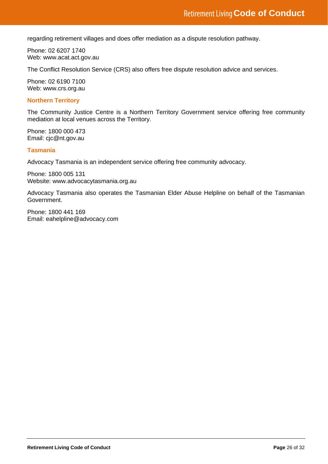regarding retirement villages and does offer mediation as a dispute resolution pathway.

Phone: 02 6207 1740 Web: [www.acat.act.gov.au](http://www.acat.act.gov.au/)

The Conflict Resolution Service (CRS) also offers free dispute resolution advice and services.

Phone: 02 6190 7100 Web: [www.crs.org.au](http://www.crs.org.au/)

#### **Northern Territory**

The Community Justice Centre is a Northern Territory Government service offering free community mediation at local venues across the Territory.

Phone: 1800 000 473 Email: [cjc@nt.gov.au](mailto:cjc@nt.gov.au)

#### **Tasmania**

Advocacy Tasmania is an independent service offering free community advocacy.

Phone: 1800 005 131 Website: www.advocacytasmania.org.au

Advocacy Tasmania also operates the Tasmanian Elder Abuse Helpline on behalf of the Tasmanian Government.

Phone: 1800 441 169 Email: [eahelpline@advocacy.com](mailto:eahelpline@advocacy.com)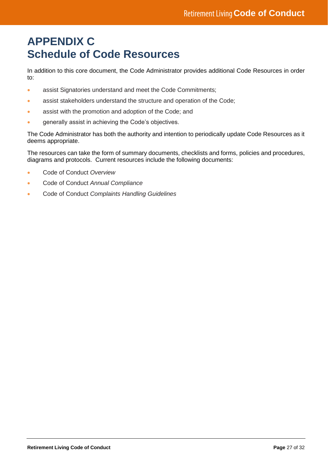### **APPENDIX C Schedule of Code Resources**

In addition to this core document, the Code Administrator provides additional Code Resources in order to:

- assist Signatories understand and meet the Code Commitments;
- assist stakeholders understand the structure and operation of the Code;
- assist with the promotion and adoption of the Code; and
- generally assist in achieving the Code's objectives.

The Code Administrator has both the authority and intention to periodically update Code Resources as it deems appropriate.

The resources can take the form of summary documents, checklists and forms, policies and procedures, diagrams and protocols. Current resources include the following documents:

- Code of Conduct *Overview*
- Code of Conduct *Annual Compliance*
- Code of Conduct *Complaints Handling Guidelines*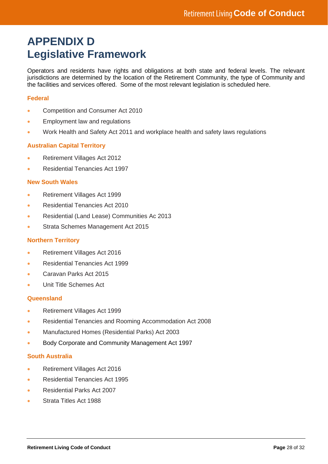### **APPENDIX D Legislative Framework**

Operators and residents have rights and obligations at both state and federal levels. The relevant jurisdictions are determined by the location of the Retirement Community, the type of Community and the facilities and services offered. Some of the most relevant legislation is scheduled here.

#### **Federal**

- Competition and Consumer Act 2010
- Employment law and regulations
- Work Health and Safety Act 2011 and workplace health and safety laws regulations

#### **Australian Capital Territory**

- Retirement Villages Act 2012
- Residential Tenancies Act 1997

#### **New South Wales**

- Retirement Villages Act 1999
- Residential Tenancies Act 2010
- Residential (Land Lease) Communities Ac 2013
- Strata Schemes Management Act 2015

#### **Northern Territory**

- Retirement Villages Act 2016
- Residential Tenancies Act 1999
- Caravan Parks Act 2015
- Unit Title Schemes Act

#### **Queensland**

- Retirement Villages Act 1999
- Residential Tenancies and Rooming Accommodation Act 2008
- Manufactured Homes (Residential Parks) Act 2003
- [Body Corporate and Community Management Act 1997](https://www.legislation.qld.gov.au/view/html/inforce/current/act-1997-028)

#### **South Australia**

- Retirement Villages Act 2016
- Residential Tenancies Act 1995
- Residential Parks Act 2007
- Strata Titles Act 1988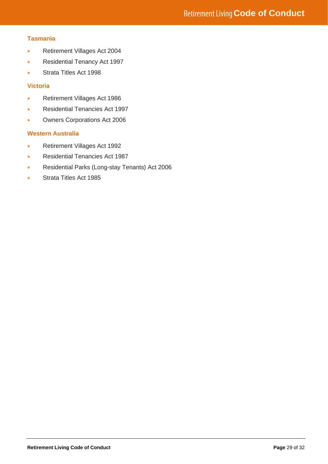#### **Tasmania**

- Retirement Villages Act 2004
- Residential Tenancy Act 1997
- Strata Titles Act 1998

#### **Victoria**

- Retirement Villages Act 1986
- Residential Tenancies Act 1997
- Owners Corporations Act 2006

#### **Western Australia**

- Retirement Villages Act 1992
- Residential Tenancies Act 1987
- Residential Parks (Long-stay Tenants) Act 2006
- Strata Titles Act 1985